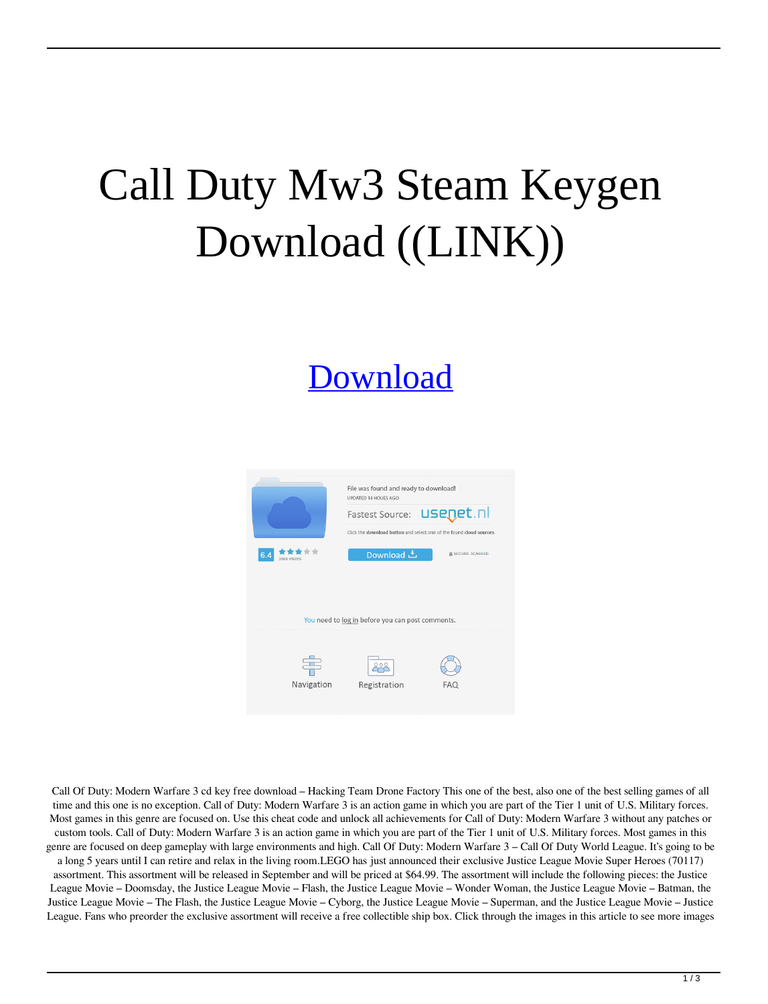## Call Duty Mw3 Steam Keygen Download ((LINK))

## [Download](https://byltly.com/2l055a)



Call Of Duty: Modern Warfare 3 cd key free download – Hacking Team Drone Factory This one of the best, also one of the best selling games of all time and this one is no exception. Call of Duty: Modern Warfare 3 is an action game in which you are part of the Tier 1 unit of U.S. Military forces. Most games in this genre are focused on. Use this cheat code and unlock all achievements for Call of Duty: Modern Warfare 3 without any patches or custom tools. Call of Duty: Modern Warfare 3 is an action game in which you are part of the Tier 1 unit of U.S. Military forces. Most games in this genre are focused on deep gameplay with large environments and high. Call Of Duty: Modern Warfare 3 – Call Of Duty World League. It's going to be a long 5 years until I can retire and relax in the living room.LEGO has just announced their exclusive Justice League Movie Super Heroes (70117) assortment. This assortment will be released in September and will be priced at \$64.99. The assortment will include the following pieces: the Justice League Movie – Doomsday, the Justice League Movie – Flash, the Justice League Movie – Wonder Woman, the Justice League Movie – Batman, the

Justice League Movie – The Flash, the Justice League Movie – Cyborg, the Justice League Movie – Superman, and the Justice League Movie – Justice League. Fans who preorder the exclusive assortment will receive a free collectible ship box. Click through the images in this article to see more images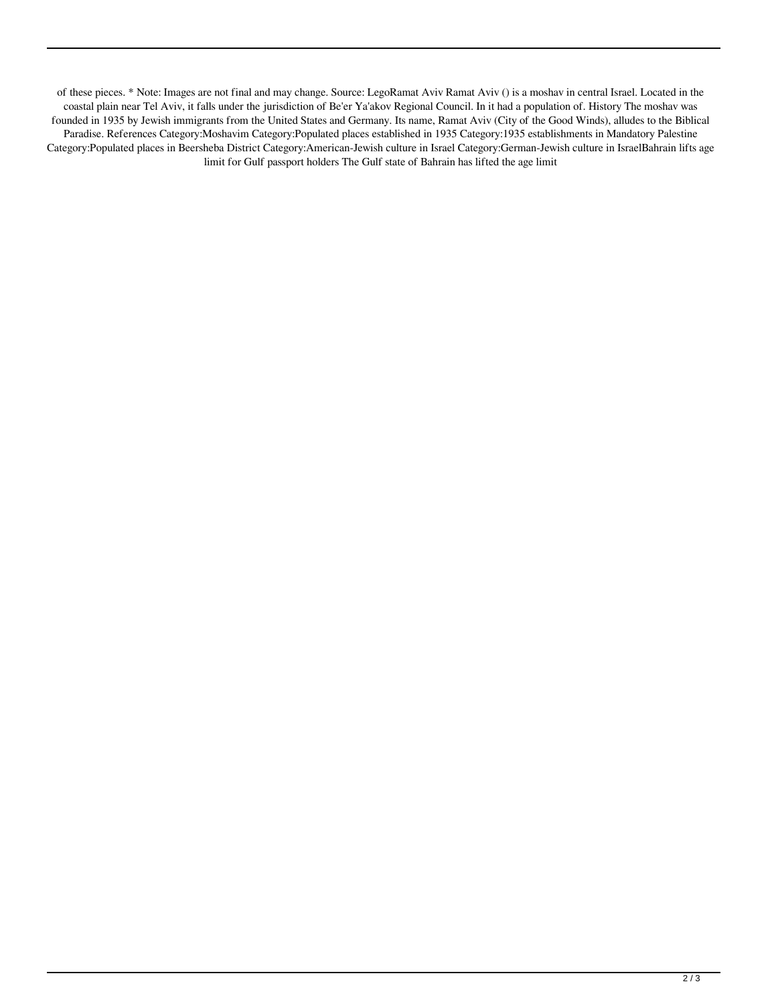of these pieces. \* Note: Images are not final and may change. Source: LegoRamat Aviv Ramat Aviv () is a moshav in central Israel. Located in the coastal plain near Tel Aviv, it falls under the jurisdiction of Be'er Ya'akov Regional Council. In it had a population of. History The moshav was founded in 1935 by Jewish immigrants from the United States and Germany. Its name, Ramat Aviv (City of the Good Winds), alludes to the Biblical Paradise. References Category:Moshavim Category:Populated places established in 1935 Category:1935 establishments in Mandatory Palestine Category:Populated places in Beersheba District Category:American-Jewish culture in Israel Category:German-Jewish culture in IsraelBahrain lifts age limit for Gulf passport holders The Gulf state of Bahrain has lifted the age limit